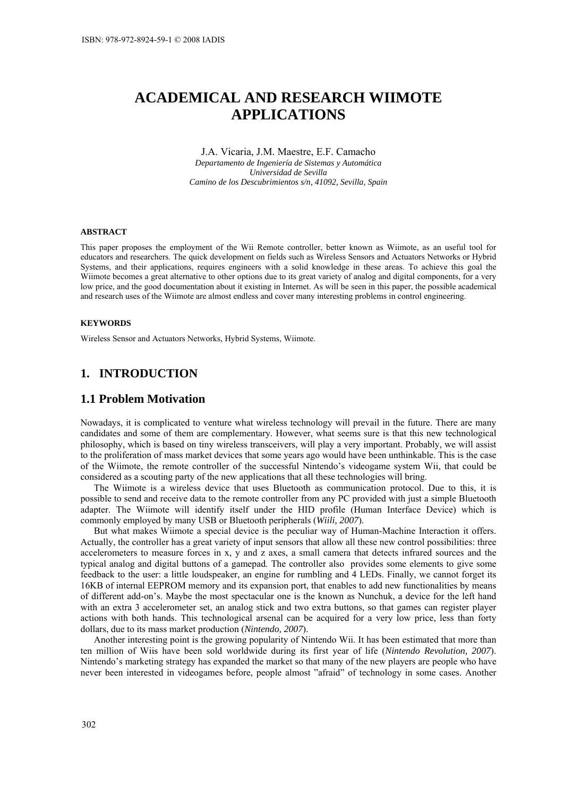# **ACADEMICAL AND RESEARCH WIIMOTE APPLICATIONS**

J.A. Vicaria, J.M. Maestre, E.F. Camacho *Departamento de Ingeniería de Sistemas y Automática Universidad de Sevilla Camino de los Descubrimientos s/n, 41092, Sevilla, Spain* 

#### **ABSTRACT**

This paper proposes the employment of the Wii Remote controller, better known as Wiimote, as an useful tool for educators and researchers. The quick development on fields such as Wireless Sensors and Actuators Networks or Hybrid Systems, and their applications, requires engineers with a solid knowledge in these areas. To achieve this goal the Wiimote becomes a great alternative to other options due to its great variety of analog and digital components, for a very low price, and the good documentation about it existing in Internet. As will be seen in this paper, the possible academical and research uses of the Wiimote are almost endless and cover many interesting problems in control engineering.

#### **KEYWORDS**

Wireless Sensor and Actuators Networks, Hybrid Systems, Wiimote.

# **1. INTRODUCTION**

# **1.1 Problem Motivation**

Nowadays, it is complicated to venture what wireless technology will prevail in the future. There are many candidates and some of them are complementary. However, what seems sure is that this new technological philosophy, which is based on tiny wireless transceivers, will play a very important. Probably, we will assist to the proliferation of mass market devices that some years ago would have been unthinkable. This is the case of the Wiimote, the remote controller of the successful Nintendo's videogame system Wii, that could be considered as a scouting party of the new applications that all these technologies will bring.

The Wiimote is a wireless device that uses Bluetooth as communication protocol. Due to this, it is possible to send and receive data to the remote controller from any PC provided with just a simple Bluetooth adapter. The Wiimote will identify itself under the HID profile (Human Interface Device) which is commonly employed by many USB or Bluetooth peripherals (*Wiili, 2007*).

But what makes Wiimote a special device is the peculiar way of Human-Machine Interaction it offers. Actually, the controller has a great variety of input sensors that allow all these new control possibilities: three accelerometers to measure forces in x, y and z axes, a small camera that detects infrared sources and the typical analog and digital buttons of a gamepad. The controller also provides some elements to give some feedback to the user: a little loudspeaker, an engine for rumbling and 4 LEDs. Finally, we cannot forget its 16KB of internal EEPROM memory and its expansion port, that enables to add new functionalities by means of different add-on's. Maybe the most spectacular one is the known as Nunchuk, a device for the left hand with an extra 3 accelerometer set, an analog stick and two extra buttons, so that games can register player actions with both hands. This technological arsenal can be acquired for a very low price, less than forty dollars, due to its mass market production (*Nintendo, 2007*).

Another interesting point is the growing popularity of Nintendo Wii. It has been estimated that more than ten million of Wiis have been sold worldwide during its first year of life (*Nintendo Revolution, 2007*). Nintendo's marketing strategy has expanded the market so that many of the new players are people who have never been interested in videogames before, people almost "afraid" of technology in some cases. Another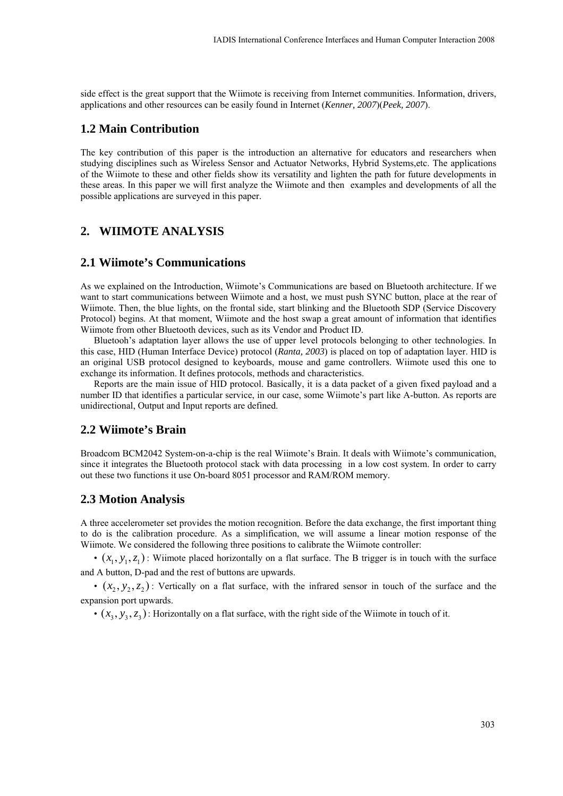side effect is the great support that the Wiimote is receiving from Internet communities. Information, drivers, applications and other resources can be easily found in Internet (*Kenner, 2007*)(*Peek, 2007*).

# **1.2 Main Contribution**

The key contribution of this paper is the introduction an alternative for educators and researchers when studying disciplines such as Wireless Sensor and Actuator Networks, Hybrid Systems,etc. The applications of the Wiimote to these and other fields show its versatility and lighten the path for future developments in these areas. In this paper we will first analyze the Wiimote and then examples and developments of all the possible applications are surveyed in this paper.

# **2. WIIMOTE ANALYSIS**

### **2.1 Wiimote's Communications**

As we explained on the Introduction, Wiimote's Communications are based on Bluetooth architecture. If we want to start communications between Wiimote and a host, we must push SYNC button, place at the rear of Wiimote. Then, the blue lights, on the frontal side, start blinking and the Bluetooth SDP (Service Discovery Protocol) begins. At that moment, Wiimote and the host swap a great amount of information that identifies Wiimote from other Bluetooth devices, such as its Vendor and Product ID.

Bluetooh's adaptation layer allows the use of upper level protocols belonging to other technologies. In this case, HID (Human Interface Device) protocol (*Ranta, 2003*) is placed on top of adaptation layer. HID is an original USB protocol designed to keyboards, mouse and game controllers. Wiimote used this one to exchange its information. It defines protocols, methods and characteristics.

Reports are the main issue of HID protocol. Basically, it is a data packet of a given fixed payload and a number ID that identifies a particular service, in our case, some Wiimote's part like A-button. As reports are unidirectional, Output and Input reports are defined.

#### **2.2 Wiimote's Brain**

Broadcom BCM2042 System-on-a-chip is the real Wiimote's Brain. It deals with Wiimote's communication, since it integrates the Bluetooth protocol stack with data processing in a low cost system. In order to carry out these two functions it use On-board 8051 processor and RAM/ROM memory.

### **2.3 Motion Analysis**

A three accelerometer set provides the motion recognition. Before the data exchange, the first important thing to do is the calibration procedure. As a simplification, we will assume a linear motion response of the Wiimote. We considered the following three positions to calibrate the Wiimote controller:

•  $(x_1, y_1, z_1)$ : Wiimote placed horizontally on a flat surface. The B trigger is in touch with the surface and A button, D-pad and the rest of buttons are upwards.

•  $(x_2, y_2, z_2)$ : Vertically on a flat surface, with the infrared sensor in touch of the surface and the expansion port upwards.

•  $(x_3, y_3, z_3)$ : Horizontally on a flat surface, with the right side of the Wiimote in touch of it.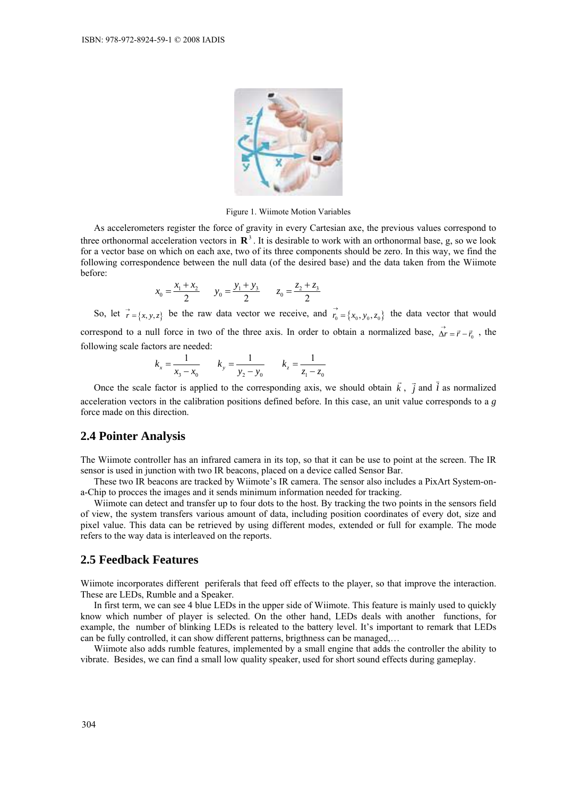

Figure 1. Wiimote Motion Variables

As accelerometers register the force of gravity in every Cartesian axe, the previous values correspond to three orthonormal acceleration vectors in  $\mathbb{R}^3$ . It is desirable to work with an orthonormal base, g, so we look for a vector base on which on each axe, two of its three components should be zero. In this way, we find the following correspondence between the null data (of the desired base) and the data taken from the Wiimote before:

$$
x_0 = \frac{x_1 + x_2}{2} \qquad y_0 = \frac{y_1 + y_3}{2} \qquad z_0 = \frac{z_2 + z_3}{2}
$$

So, let  $\vec{r} = \{x, y, z\}$  be the raw data vector we receive, and  $\vec{r_0} = \{x_0, y_0, z_0\}$  the data vector that would correspond to a null force in two of the three axis. In order to obtain a normalized base,  $\vec{\Delta r} = \vec{r} - \vec{r}_0$ , the following scale factors are needed:

$$
k_x = \frac{1}{x_3 - x_0} \qquad k_y = \frac{1}{y_2 - y_0} \qquad k_z = \frac{1}{z_1 - z_0}
$$

Once the scale factor is applied to the corresponding axis, we should obtain  $\vec{k}$ ,  $\vec{j}$  and  $\vec{i}$  as normalized acceleration vectors in the calibration positions defined before. In this case, an unit value corresponds to a *g* force made on this direction.

# **2.4 Pointer Analysis**

The Wiimote controller has an infrared camera in its top, so that it can be use to point at the screen. The IR sensor is used in junction with two IR beacons, placed on a device called Sensor Bar.

These two IR beacons are tracked by Wiimote's IR camera. The sensor also includes a PixArt System-ona-Chip to procces the images and it sends minimum information needed for tracking.

Wiimote can detect and transfer up to four dots to the host. By tracking the two points in the sensors field of view, the system transfers various amount of data, including position coordinates of every dot, size and pixel value. This data can be retrieved by using different modes, extended or full for example. The mode refers to the way data is interleaved on the reports.

# **2.5 Feedback Features**

Wiimote incorporates different periferals that feed off effects to the player, so that improve the interaction. These are LEDs, Rumble and a Speaker.

In first term, we can see 4 blue LEDs in the upper side of Wiimote. This feature is mainly used to quickly know which number of player is selected. On the other hand, LEDs deals with another functions, for example, the number of blinking LEDs is releated to the battery level. It's important to remark that LEDs can be fully controlled, it can show different patterns, brigthness can be managed,…

Wiimote also adds rumble features, implemented by a small engine that adds the controller the ability to vibrate. Besides, we can find a small low quality speaker, used for short sound effects during gameplay.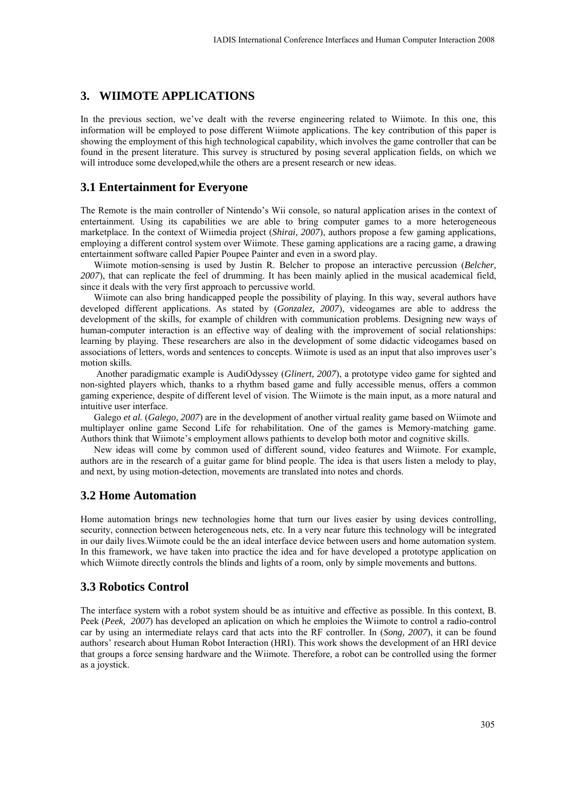# **3. WIIMOTE APPLICATIONS**

In the previous section, we've dealt with the reverse engineering related to Wiimote. In this one, this information will be employed to pose different Wiimote applications. The key contribution of this paper is showing the employment of this high technological capability, which involves the game controller that can be found in the present literature. This survey is structured by posing several application fields, on which we will introduce some developed, while the others are a present research or new ideas.

# **3.1 Entertainment for Everyone**

The Remote is the main controller of Nintendo's Wii console, so natural application arises in the context of entertainment. Using its capabilities we are able to bring computer games to a more heterogeneous marketplace. In the context of Wiimedia project (*Shirai, 2007*), authors propose a few gaming applications, employing a different control system over Wiimote. These gaming applications are a racing game, a drawing entertainment software called Papier Poupee Painter and even in a sword play.

Wiimote motion-sensing is used by Justin R. Belcher to propose an interactive percussion (*Belcher, 2007*), that can replicate the feel of drumming. It has been mainly aplied in the musical academical field, since it deals with the very first approach to percussive world.

Wiimote can also bring handicapped people the possibility of playing. In this way, several authors have developed different applications. As stated by (*Gonzalez, 2007*), videogames are able to address the development of the skills, for example of children with communication problems. Designing new ways of human-computer interaction is an effective way of dealing with the improvement of social relationships: learning by playing. These researchers are also in the development of some didactic videogames based on associations of letters, words and sentences to concepts. Wiimote is used as an input that also improves user's motion skills.

 Another paradigmatic example is AudiOdyssey (*Glinert, 2007*), a prototype video game for sighted and non-sighted players which, thanks to a rhythm based game and fully accessible menus, offers a common gaming experience, despite of different level of vision. The Wiimote is the main input, as a more natural and intuitive user interface.

Galego *et al.* (*Galego, 2007*) are in the development of another virtual reality game based on Wiimote and multiplayer online game Second Life for rehabilitation. One of the games is Memory-matching game. Authors think that Wiimote's employment allows pathients to develop both motor and cognitive skills.

New ideas will come by common used of different sound, video features and Wiimote. For example, authors are in the research of a guitar game for blind people. The idea is that users listen a melody to play, and next, by using motion-detection, movements are translated into notes and chords.

#### **3.2 Home Automation**

Home automation brings new technologies home that turn our lives easier by using devices controlling, security, connection between heterogeneous nets, etc. In a very near future this technology will be integrated in our daily lives.Wiimote could be the an ideal interface device between users and home automation system. In this framework, we have taken into practice the idea and for have developed a prototype application on which Wiimote directly controls the blinds and lights of a room, only by simple movements and buttons.

### **3.3 Robotics Control**

The interface system with a robot system should be as intuitive and effective as possible. In this context, B. Peek (*Peek, 2007*) has developed an aplication on which he emploies the Wiimote to control a radio-control car by using an intermediate relays card that acts into the RF controller. In (*Song, 2007*), it can be found authors' research about Human Robot Interaction (HRI). This work shows the development of an HRI device that groups a force sensing hardware and the Wiimote. Therefore, a robot can be controlled using the former as a joystick.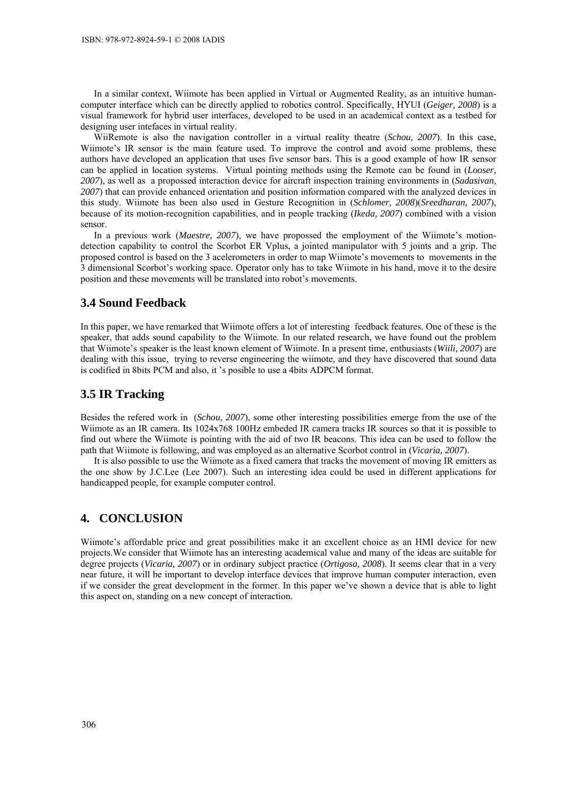In a similar context, Wiimote has been applied in Virtual or Augmented Reality, as an intuitive humancomputer interface which can be directly applied to robotics control. Specifically, HYUI (*Geiger, 2008*) is a visual framework for hybrid user interfaces, developed to be used in an academical context as a testbed for designing user intefaces in virtual reality.

WiiRemote is also the navigation controller in a virtual reality theatre (*Schou, 2007*). In this case, Wiimote's IR sensor is the main feature used. To improve the control and avoid some problems, these authors have developed an application that uses five sensor bars. This is a good example of how IR sensor can be applied in location systems. Virtual pointing methods using the Remote can be found in (*Looser, 2007*), as well as a propossed interaction device for aircraft inspection training environments in (*Sadasivan, 2007*) that can provide enhanced orientation and position information compared with the analyzed devices in this study. Wiimote has been also used in Gesture Recognition in (*Schlomer, 2008*)(*Sreedharan, 2007*), because of its motion-recognition capabilities, and in people tracking (*Ikeda, 2007*) combined with a vision sensor.

In a previous work (*Maestre, 2007*), we have propossed the employment of the Wiimote's motiondetection capability to control the Scorbot ER Vplus, a jointed manipulator with 5 joints and a grip. The proposed control is based on the 3 acelerometers in order to map Wiimote's movements to movements in the 3 dimensional Scorbot's working space. Operator only has to take Wiimote in his hand, move it to the desire position and these movements will be translated into robot's movements.

#### **3.4 Sound Feedback**

In this paper, we have remarked that Wiimote offers a lot of interesting feedback features. One of these is the speaker, that adds sound capability to the Wiimote. In our related research, we have found out the problem that Wiimote's speaker is the least known element of Wiimote. In a present time, enthusiasts (*Wiili, 2007*) are dealing with this issue, trying to reverse engineering the wiimote, and they have discovered that sound data is codified in 8bits PCM and also, it 's posible to use a 4bits ADPCM format.

# **3.5 IR Tracking**

Besides the refered work in (*Schou, 2007*), some other interesting possibilities emerge from the use of the Wiimote as an IR camera. Its 1024x768 100Hz embeded IR camera tracks IR sources so that it is possible to find out where the Wiimote is pointing with the aid of two IR beacons. This idea can be used to follow the path that Wiimote is following, and was employed as an alternative Scorbot control in (*Vicaria, 2007*).

It is also possible to use the Wiimote as a fixed camera that tracks the movement of moving IR emitters as the one show by J.C.Lee (Lee 2007). Such an interesting idea could be used in different applications for handicapped people, for example computer control.

#### **4. CONCLUSION**

Wiimote's affordable price and great possibilities make it an excellent choice as an HMI device for new projects.We consider that Wiimote has an interesting academical value and many of the ideas are suitable for degree projects (*Vicaria, 2007*) or in ordinary subject practice (*Ortigosa, 2008*). It seems clear that in a very near future, it will be important to develop interface devices that improve human computer interaction, even if we consider the great development in the former. In this paper we've shown a device that is able to light this aspect on, standing on a new concept of interaction.